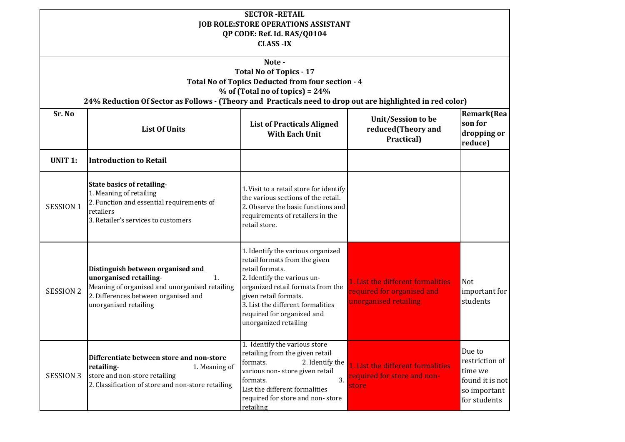| <b>SECTOR-RETAIL</b><br><b>JOB ROLE:STORE OPERATIONS ASSISTANT</b><br>QP CODE: Ref. Id. RAS/Q0104<br><b>CLASS -IX</b>                                                                                                                           |                                                                                                                                                                                                  |                                                                                                                                                                                                                                                                                |                                                                                          |                                                                                        |
|-------------------------------------------------------------------------------------------------------------------------------------------------------------------------------------------------------------------------------------------------|--------------------------------------------------------------------------------------------------------------------------------------------------------------------------------------------------|--------------------------------------------------------------------------------------------------------------------------------------------------------------------------------------------------------------------------------------------------------------------------------|------------------------------------------------------------------------------------------|----------------------------------------------------------------------------------------|
| Note-<br><b>Total No of Topics - 17</b><br>Total No of Topics Deducted from four section - 4<br>$%$ of (Total no of topics) = 24%<br>24% Reduction Of Sector as Follows - (Theory and Practicals need to drop out are highlighted in red color) |                                                                                                                                                                                                  |                                                                                                                                                                                                                                                                                |                                                                                          |                                                                                        |
| Sr. No                                                                                                                                                                                                                                          | <b>List Of Units</b>                                                                                                                                                                             | <b>List of Practicals Aligned</b><br><b>With Each Unit</b>                                                                                                                                                                                                                     | Unit/Session to be<br>reduced(Theory and<br>Practical)                                   | Remark(Rea<br>son for<br>dropping or<br>reduce)                                        |
| <b>UNIT 1:</b>                                                                                                                                                                                                                                  | <b>Introduction to Retail</b>                                                                                                                                                                    |                                                                                                                                                                                                                                                                                |                                                                                          |                                                                                        |
| <b>SESSION 1</b>                                                                                                                                                                                                                                | <b>State basics of retailing-</b><br>1. Meaning of retailing<br>2. Function and essential requirements of<br>retailers<br>3. Retailer's services to customers                                    | 1. Visit to a retail store for identify<br>the various sections of the retail.<br>2. Observe the basic functions and<br>requirements of retailers in the<br>retail store.                                                                                                      |                                                                                          |                                                                                        |
| <b>SESSION 2</b>                                                                                                                                                                                                                                | Distinguish between organised and<br>unorganised retailing-<br>$\mathbf{1}$ .<br>Meaning of organised and unorganised retailing<br>2. Differences between organised and<br>unorganised retailing | 1. Identify the various organized<br>retail formats from the given<br>retail formats.<br>2. Identify the various un-<br>organized retail formats from the<br>given retail formats.<br>3. List the different formalities<br>required for organized and<br>unorganized retailing | 1. List the different formalities<br>required for organised and<br>unorganised retailing | Not<br>important for<br>students                                                       |
| <b>SESSION 3</b>                                                                                                                                                                                                                                | Differentiate between store and non-store<br>retailing-<br>1. Meaning of<br>store and non-store retailing<br>2. Classification of store and non-store retailing                                  | 1. Identify the various store<br>retailing from the given retail<br>formats.<br>2. Identify the<br>various non-store given retail<br>3.<br>formats.<br>List the different formalities<br>required for store and non-store<br>retailing                                         | 1. List the different formalities<br>required for store and non-<br>store                | Due to<br>restriction of<br>time we<br>found it is not<br>so important<br>for students |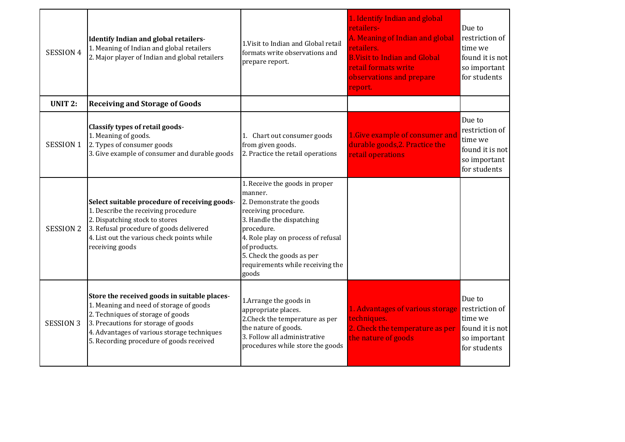| <b>SESSION 4</b> | <b>Identify Indian and global retailers-</b><br>1. Meaning of Indian and global retailers<br>2. Major player of Indian and global retailers                                                                                                                    | 1. Visit to Indian and Global retail<br>formats write observations and<br>prepare report.                                                                                                                                                                                | 1. Identify Indian and global<br>retailers-<br>A. Meaning of Indian and global<br>retailers.<br><b>B.Visit to Indian and Global</b><br>retail formats write<br>observations and prepare<br>report. | Due to<br>restriction of<br>time we<br>found it is not<br>so important<br>for students |
|------------------|----------------------------------------------------------------------------------------------------------------------------------------------------------------------------------------------------------------------------------------------------------------|--------------------------------------------------------------------------------------------------------------------------------------------------------------------------------------------------------------------------------------------------------------------------|----------------------------------------------------------------------------------------------------------------------------------------------------------------------------------------------------|----------------------------------------------------------------------------------------|
| <b>UNIT 2:</b>   | <b>Receiving and Storage of Goods</b>                                                                                                                                                                                                                          |                                                                                                                                                                                                                                                                          |                                                                                                                                                                                                    |                                                                                        |
| SESSION 1        | <b>Classify types of retail goods-</b><br>1. Meaning of goods.<br>2. Types of consumer goods<br>3. Give example of consumer and durable goods                                                                                                                  | 1. Chart out consumer goods<br>from given goods.<br>2. Practice the retail operations                                                                                                                                                                                    | 1. Give example of consumer and<br>durable goods, 2. Practice the<br>retail operations                                                                                                             | Due to<br>restriction of<br>time we<br>found it is not<br>so important<br>for students |
| <b>SESSION 2</b> | Select suitable procedure of receiving goods-<br>1. Describe the receiving procedure<br>2. Dispatching stock to stores<br>3. Refusal procedure of goods delivered<br>4. List out the various check points while<br>receiving goods                             | 1. Receive the goods in proper<br>manner.<br>2. Demonstrate the goods<br>receiving procedure.<br>3. Handle the dispatching<br>procedure.<br>4. Role play on process of refusal<br>of products.<br>5. Check the goods as per<br>requirements while receiving the<br>goods |                                                                                                                                                                                                    |                                                                                        |
| <b>SESSION 3</b> | Store the received goods in suitable places-<br>1. Meaning and need of storage of goods<br>2. Techniques of storage of goods<br>3. Precautions for storage of goods<br>4. Advantages of various storage techniques<br>5. Recording procedure of goods received | 1. Arrange the goods in<br>appropriate places.<br>2. Check the temperature as per<br>the nature of goods.<br>3. Follow all administrative<br>procedures while store the goods                                                                                            | 1. Advantages of various storage<br>techniques.<br>2. Check the temperature as per<br>the nature of goods                                                                                          | Due to<br>restriction of<br>time we<br>found it is not<br>so important<br>for students |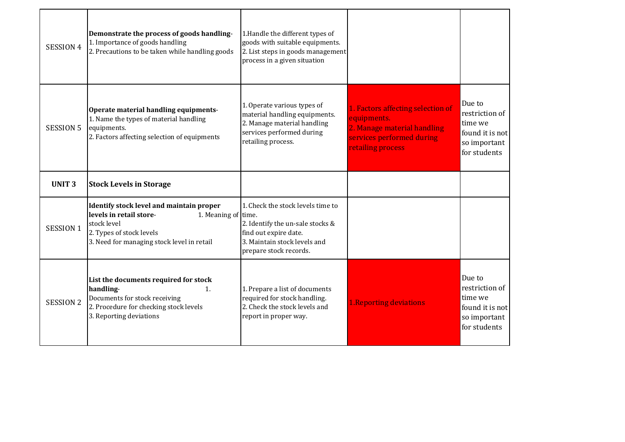| <b>SESSION 4</b> | Demonstrate the process of goods handling-<br>1. Importance of goods handling<br>2. Precautions to be taken while handling goods                                                    | 1.Handle the different types of<br>goods with suitable equipments.<br>2. List steps in goods management<br>process in a given situation                  |                                                                                                                                   |                                                                                        |
|------------------|-------------------------------------------------------------------------------------------------------------------------------------------------------------------------------------|----------------------------------------------------------------------------------------------------------------------------------------------------------|-----------------------------------------------------------------------------------------------------------------------------------|----------------------------------------------------------------------------------------|
| <b>SESSION 5</b> | Operate material handling equipments-<br>1. Name the types of material handling<br>equipments.<br>2. Factors affecting selection of equipments                                      | 1. Operate various types of<br>material handling equipments.<br>2. Manage material handling<br>services performed during<br>retailing process.           | 1. Factors affecting selection of<br>equipments.<br>2. Manage material handling<br>services performed during<br>retailing process | Due to<br>restriction of<br>time we<br>found it is not<br>so important<br>for students |
| <b>UNIT3</b>     | <b>Stock Levels in Storage</b>                                                                                                                                                      |                                                                                                                                                          |                                                                                                                                   |                                                                                        |
| <b>SESSION 1</b> | Identify stock level and maintain proper<br>levels in retail store-<br>1. Meaning of time.<br>stock level<br>2. Types of stock levels<br>3. Need for managing stock level in retail | 1. Check the stock levels time to<br>2. Identify the un-sale stocks &<br>find out expire date.<br>3. Maintain stock levels and<br>prepare stock records. |                                                                                                                                   |                                                                                        |
| <b>SESSION 2</b> | List the documents required for stock<br>handling-<br>1.<br>Documents for stock receiving<br>2. Procedure for checking stock levels<br>3. Reporting deviations                      | 1. Prepare a list of documents<br>required for stock handling.<br>2. Check the stock levels and<br>report in proper way.                                 | <b>1. Reporting deviations</b>                                                                                                    | Due to<br>restriction of<br>time we<br>found it is not<br>so important<br>for students |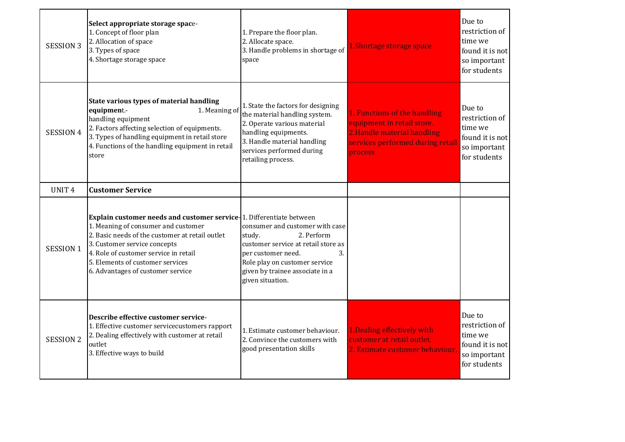| <b>SESSION 3</b>  | Select appropriate storage space-<br>1. Concept of floor plan<br>2. Allocation of space<br>3. Types of space<br>4. Shortage storage space                                                                                                                                                                        | 1. Prepare the floor plan.<br>2. Allocate space.<br>3. Handle problems in shortage of<br>space                                                                                                                     | 1.Shortage storage space                                                                                                                 | Due to<br>restriction of<br>time we<br>found it is not<br>so important<br>for students |
|-------------------|------------------------------------------------------------------------------------------------------------------------------------------------------------------------------------------------------------------------------------------------------------------------------------------------------------------|--------------------------------------------------------------------------------------------------------------------------------------------------------------------------------------------------------------------|------------------------------------------------------------------------------------------------------------------------------------------|----------------------------------------------------------------------------------------|
| SESSION 4         | State various types of material handling<br>equipment.-<br>1. Meaning of<br>handling equipment<br>2. Factors affecting selection of equipments.<br>3. Types of handling equipment in retail store<br>4. Functions of the handling equipment in retail<br>store                                                   | 1. State the factors for designing<br>the material handling system.<br>2. Operate various material<br>handling equipments.<br>3. Handle material handling<br>services performed during<br>retailing process.       | 1. Functions of the handling<br>equipment in retail store.<br>2. Handle material handling<br>services performed during retail<br>process | Due to<br>restriction of<br>time we<br>found it is not<br>so important<br>for students |
| UNIT <sub>4</sub> | <b>Customer Service</b>                                                                                                                                                                                                                                                                                          |                                                                                                                                                                                                                    |                                                                                                                                          |                                                                                        |
| <b>SESSION 1</b>  | Explain customer needs and customer service 1. Differentiate between<br>1. Meaning of consumer and customer<br>2. Basic needs of the customer at retail outlet<br>3. Customer service concepts<br>4. Role of customer service in retail<br>5. Elements of customer services<br>6. Advantages of customer service | consumer and customer with case<br>2. Perform<br>study.<br>customer service at retail store as<br>per customer need.<br>3.<br>Role play on customer service<br>given by trainee associate in a<br>given situation. |                                                                                                                                          |                                                                                        |
| <b>SESSION 2</b>  | Describe effective customer service-<br>1. Effective customer servicecustomers rapport<br>2. Dealing effectively with customer at retail<br>outlet<br>3. Effective ways to build                                                                                                                                 | 1. Estimate customer behaviour.<br>2. Convince the customers with<br>good presentation skills                                                                                                                      | 1. Dealing effectively with<br>customer at retail outlet.<br>2. Estimate customer behaviour.                                             | Due to<br>restriction of<br>time we<br>found it is not<br>so important<br>for students |